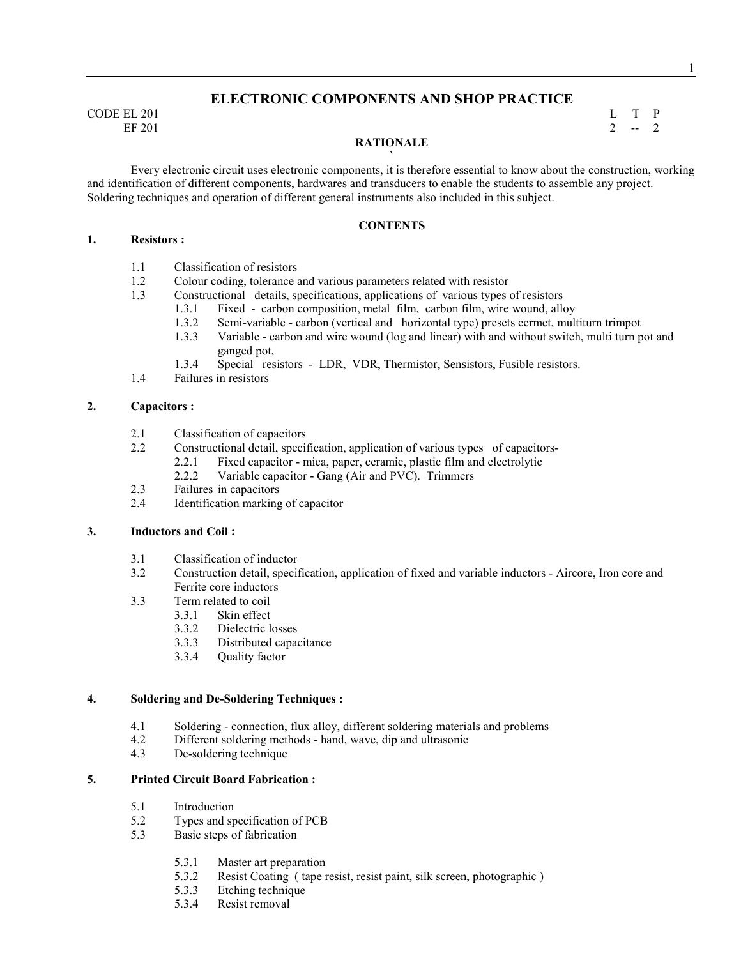# CODE EL 201 L T P

# **ELECTRONIC COMPONENTS AND SHOP PRACTICE**

EF 201 2  $-2$ 

### **RATIONALE `**

 Every electronic circuit uses electronic components, it is therefore essential to know about the construction, working and identification of different components, hardwares and transducers to enable the students to assemble any project. Soldering techniques and operation of different general instruments also included in this subject.

#### **CONTENTS**

#### **1. Resistors :**

- 1.1 Classification of resistors
- 1.2 Colour coding, tolerance and various parameters related with resistor
- 1.3 Constructional details, specifications, applications of various types of resistors
	- 1.3.1 Fixed carbon composition, metal film, carbon film, wire wound, alloy
	- 1.3.2 Semi-variable carbon (vertical and horizontal type) presets cermet, multiturn trimpot
	- 1.3.3 Variable carbon and wire wound (log and linear) with and without switch, multi turn pot and ganged pot,
	- 1.3.4 Special resistors LDR, VDR, Thermistor, Sensistors, Fusible resistors.
- 1.4 Failures in resistors

#### **2. Capacitors :**

- 2.1 Classification of capacitors
- 2.2 Constructional detail, specification, application of various types of capacitors-
	- 2.2.1 Fixed capacitor mica, paper, ceramic, plastic film and electrolytic
	- 2.2.2 Variable capacitor Gang (Air and PVC). Trimmers
- 2.3 Failures in capacitors<br>2.4 Identification marking
- Identification marking of capacitor

# **3. Inductors and Coil :**

- 3.1 Classification of inductor<br>3.2 Construction detail, specify
- 3.2 Construction detail, specification, application of fixed and variable inductors Aircore, Iron core and Ferrite core inductors
- 3.3 Term related to coil
	- 3.3.1 Skin effect
		- 3.3.2 Dielectric losses
		- 3.3.3 Distributed capacitance
		- 3.3.4 Quality factor

#### **4. Soldering and De-Soldering Techniques :**

- 4.1 Soldering connection, flux alloy, different soldering materials and problems
- 4.2 Different soldering methods hand, wave, dip and ultrasonic<br>4.3 De-soldering technique
- De-soldering technique

#### **5. Printed Circuit Board Fabrication :**

- 5.1 Introduction
- 5.2 Types and specification of PCB<br>5.3 Basic steps of fabrication
- Basic steps of fabrication
	- 5.3.1 Master art preparation
	- 5.3.2 Resist Coating ( tape resist, resist paint, silk screen, photographic )
	- 5.3.3 Etching technique
	- 5.3.4 Resist removal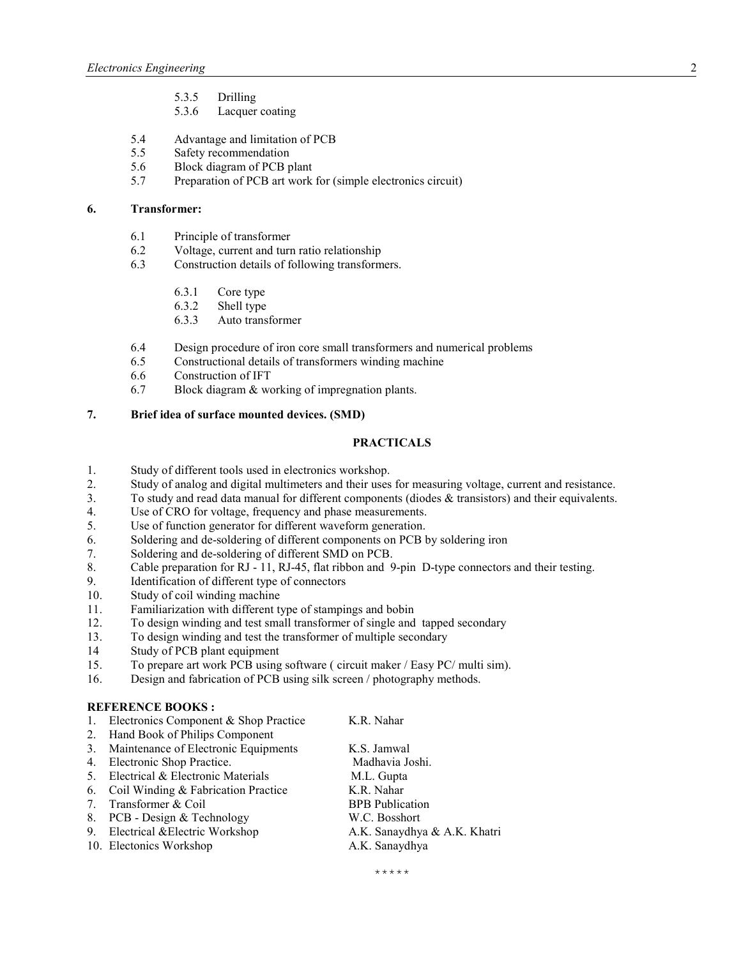- 5.3.5 Drilling
- 5.3.6 Lacquer coating
- 5.4 Advantage and limitation of PCB<br>5.5 Safety recommendation
- 5.5 Safety recommendation<br>5.6 Block diagram of PCB r
- 5.6 Block diagram of PCB plant
- 5.7 Preparation of PCB art work for (simple electronics circuit)

#### **6. Transformer:**

- 6.1 Principle of transformer<br>6.2 Voltage, current and turn
- Voltage, current and turn ratio relationship
- 6.3 Construction details of following transformers.
	- 6.3.1 Core type
	- 6.3.2 Shell type<br>6.3.3 Auto trans
	- Auto transformer
- 6.4 Design procedure of iron core small transformers and numerical problems
- 6.5 Constructional details of transformers winding machine
- 6.6 Construction of IFT
- 6.7 Block diagram & working of impregnation plants.

**7. Brief idea of surface mounted devices. (SMD)** 

#### **PRACTICALS**

- 1. Study of different tools used in electronics workshop.
- 2. Study of analog and digital multimeters and their uses for measuring voltage, current and resistance.<br>3. To study and read data manual for different components (diodes & transistors) and their equivalents.
- To study and read data manual for different components (diodes  $&$  transistors) and their equivalents.
- 4. Use of CRO for voltage, frequency and phase measurements.
- 5. Use of function generator for different waveform generation.
- 6. Soldering and de-soldering of different components on PCB by soldering iron
- 7. Soldering and de-soldering of different SMD on PCB.
- 8. Cable preparation for RJ 11, RJ-45, flat ribbon and 9-pin D-type connectors and their testing.
- 9. Identification of different type of connectors
- 10. Study of coil winding machine
- 11. Familiarization with different type of stampings and bobin
- 12. To design winding and test small transformer of single and tapped secondary
- 13. To design winding and test the transformer of multiple secondary
- 14 Study of PCB plant equipment<br>15. To prepare art work PCB using
- 15. To prepare art work PCB using software ( circuit maker / Easy PC/ multi sim).
- 16. Design and fabrication of PCB using silk screen / photography methods.

#### **REFERENCE BOOKS:**

|                                  | 1. Electronics Component & Shop Practice | K.R. Nahar                   |
|----------------------------------|------------------------------------------|------------------------------|
| 2.                               | Hand Book of Philips Component           |                              |
| 3.                               | Maintenance of Electronic Equipments     | K.S. Jamwal                  |
| 4.                               | Electronic Shop Practice.                | Madhavia Joshi.              |
| 5 <sub>1</sub>                   | Electrical & Electronic Materials        | M.L. Gupta                   |
| 6.                               | Coil Winding & Fabrication Practice      | K.R. Nahar                   |
| $7_{\scriptscriptstyle{\ddots}}$ | Transformer & Coil                       | <b>BPB</b> Publication       |
| 8.                               | PCB - Design & Technology                | W.C. Bosshort                |
|                                  | 9. Electrical & Electric Workshop        | A.K. Sanaydhya & A.K. Khatri |
|                                  | 10. Electonics Workshop                  | A.K. Sanaydhya               |
|                                  |                                          |                              |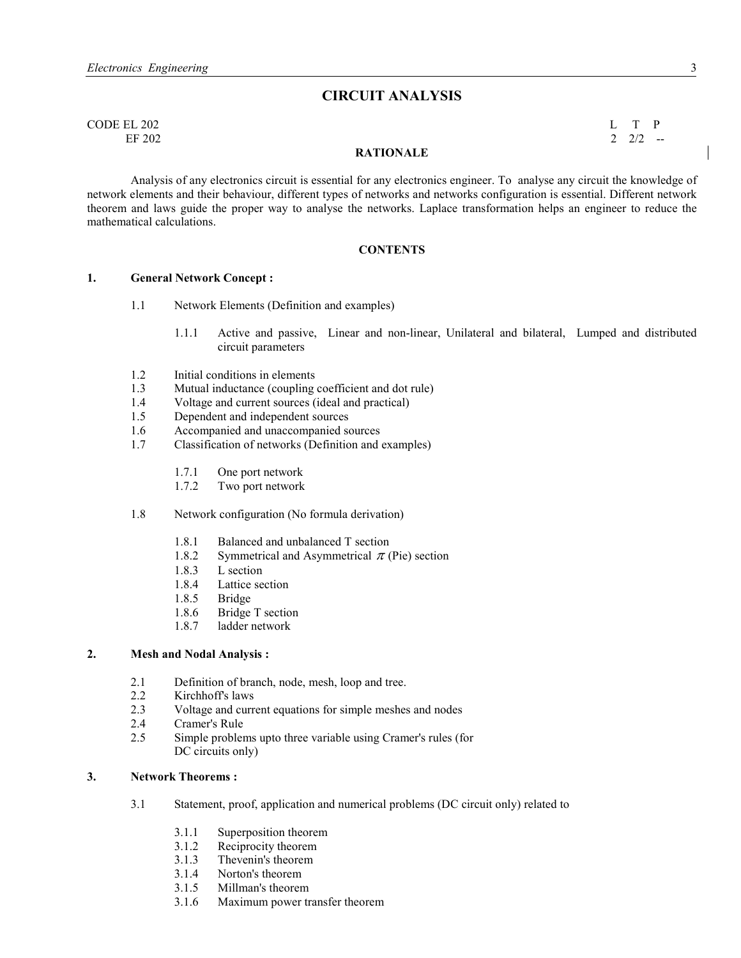# **CIRCUIT AALYSIS**

| CODE EL 202 |                  | $L$ T P         |     |
|-------------|------------------|-----------------|-----|
| EF 202      |                  | $2 \frac{2}{2}$ | --- |
|             | <b>RATIONALE</b> |                 |     |

Analysis of any electronics circuit is essential for any electronics engineer. To analyse any circuit the knowledge of network elements and their behaviour, different types of networks and networks configuration is essential. Different network theorem and laws guide the proper way to analyse the networks. Laplace transformation helps an engineer to reduce the mathematical calculations.

#### **CONTENTS**

#### **1.** General Network Concept :

- 1.1 Network Elements (Definition and examples)
	- 1.1.1 Active and passive, Linear and non-linear, Unilateral and bilateral, Lumped and distributed circuit parameters
- 1.2 Initial conditions in elements
- 1.3 Mutual inductance (coupling coefficient and dot rule)
- 1.4 Voltage and current sources (ideal and practical)
- 1.5 Dependent and independent sources
- 1.6 Accompanied and unaccompanied sources
- 1.7 Classification of networks (Definition and examples)
	- 1.7.1 One port network<br>1.7.2 Two port network
	- Two port network
- 1.8 Network configuration (No formula derivation)
	- 1.8.1 Balanced and unbalanced T section
	- 1.8.2 Symmetrical and Asymmetrical  $\pi$  (Pie) section
	- 1.8.3 L section
	- 1.8.4 Lattice section
	- 1.8.5 Bridge
	- 1.8.6 Bridge T section
	- 1.8.7 ladder network

#### **2.** Mesh and Nodal Analysis :

- 2.1 Definition of branch, node, mesh, loop and tree.<br>2.2 Kirchhoff's laws
- Kirchhoff's laws
- 2.3 Voltage and current equations for simple meshes and nodes
- 2.4 Cramer's Rule<br>2.5 Simple problem
- Simple problems upto three variable using Cramer's rules (for DC circuits only)

#### **3.** Network Theorems :

- 3.1 Statement, proof, application and numerical problems (DC circuit only) related to
	- 3.1.1 Superposition theorem
	- 3.1.2 Reciprocity theorem<br>3.1.3 Thevenin's theorem
	- Thevenin's theorem
	- 3.1.4 Norton's theorem
	- 3.1.5 Millman's theorem
	- 3.1.6 Maximum power transfer theorem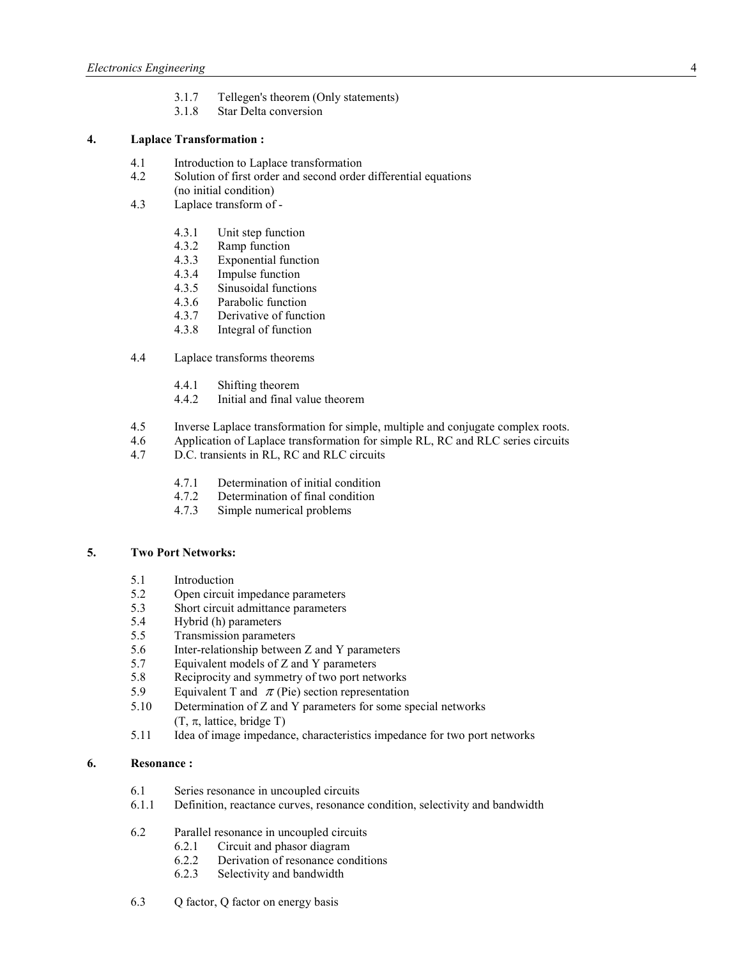- 3.1.7 Tellegen's theorem (Only statements)
- 3.1.8 Star Delta conversion

# **4. Laplace Transformation :**

- 4.1 Introduction to Laplace transformation
- 4.2 Solution of first order and second order differential equations (no initial condition)
- 4.3 Laplace transform of
	- 4.3.1 Unit step function
	- 4.3.2 Ramp function
	- 4.3.3 Exponential function
	- 4.3.4 Impulse function
	- 4.3.5 Sinusoidal functions<br>4.3.6 Parabolic function
	- Parabolic function
	- 4.3.7 Derivative of function
	- 4.3.8 Integral of function
- 4.4 Laplace transforms theorems
	- 4.4.1 Shifting theorem
	- 4.4.2 Initial and final value theorem
- 4.5 Inverse Laplace transformation for simple, multiple and conjugate complex roots.
- 4.6 Application of Laplace transformation for simple RL, RC and RLC series circuits
- 4.7 D.C. transients in RL, RC and RLC circuits
	- 4.7.1 Determination of initial condition
	- 4.7.2 Determination of final condition
	- 4.7.3 Simple numerical problems

#### **5.** Two Port Networks:

- 5.1 Introduction
- 5.2 Open circuit impedance parameters
- 5.3 Short circuit admittance parameters
- 5.4 Hybrid (h) parameters
- 5.5 Transmission parameters
- 5.6 Inter-relationship between Z and Y parameters
- 5.7 Equivalent models of Z and Y parameters
- 5.8 Reciprocity and symmetry of two port networks<br>5.9 Equivalent T and  $\pi$  (Pie) section representation
- Equivalent T and  $\pi$  (Pie) section representation
- 5.10 Determination of Z and Y parameters for some special networks  $(T, \pi,$  lattice, bridge T)
- 5.11 Idea of image impedance, characteristics impedance for two port networks

#### **6. Resonance :**

- 6.1 Series resonance in uncoupled circuits<br>6.1.1 Definition, reactance curves, resonance
- Definition, reactance curves, resonance condition, selectivity and bandwidth
- 6.2 Parallel resonance in uncoupled circuits
	- 6.2.1 Circuit and phasor diagram
	- 6.2.2 Derivation of resonance conditions
	- 6.2.3 Selectivity and bandwidth
- 6.3 Q factor, Q factor on energy basis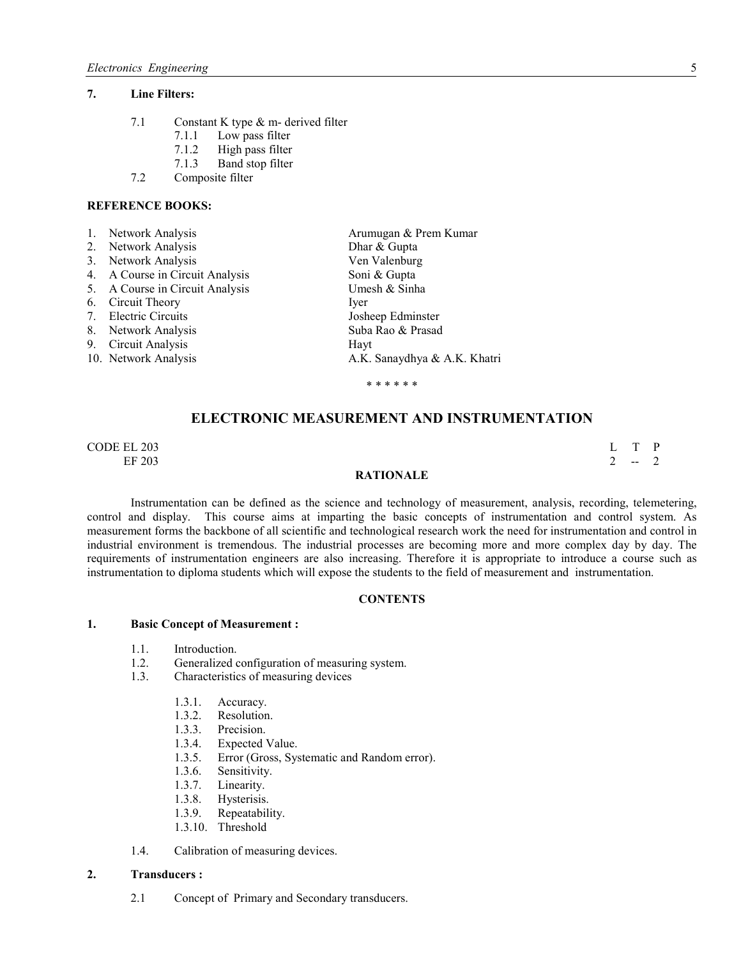#### **7. Line Filters:**

- 7.1 Constant K type & m- derived filter
	- 7.1.1 Low pass filter<br>7.1.2 High pass filter
	- High pass filter
	- 7.1.3 Band stop filter
- 7.2 Composite filter

#### **REFERENCE BOOKS:**

|                | 1. Network Analysis             | Arumugan & Prem Kumar        |
|----------------|---------------------------------|------------------------------|
|                | 2. Network Analysis             | Dhar & Gupta                 |
| 3 <sub>1</sub> | Network Analysis                | Ven Valenburg                |
|                | 4. A Course in Circuit Analysis | Soni & Gupta                 |
|                | 5. A Course in Circuit Analysis | Umesh & Sinha                |
|                | 6. Circuit Theory               | Iver                         |
|                | 7. Electric Circuits            | Josheep Edminster            |
|                | 8. Network Analysis             | Suba Rao & Prasad            |
|                | 9. Circuit Analysis             | Hayt                         |
|                | 10. Network Analysis            | A.K. Sanaydhya & A.K. Khatri |
|                |                                 | * * * * * *                  |

# **ELECTRONIC MEASUREMENT AND INSTRUMENTATION**

CODE EL 203 L T P EF 203 2  $-2$ 

#### **RATIONALE**

 Instrumentation can be defined as the science and technology of measurement, analysis, recording, telemetering, control and display. This course aims at imparting the basic concepts of instrumentation and control system. As measurement forms the backbone of all scientific and technological research work the need for instrumentation and control in industrial environment is tremendous. The industrial processes are becoming more and more complex day by day. The requirements of instrumentation engineers are also increasing. Therefore it is appropriate to introduce a course such as instrumentation to diploma students which will expose the students to the field of measurement and instrumentation.

#### **CONTENTS**

#### **1. Basic Concept of Measurement :**

- 1.1. Introduction.
- 1.2. Generalized configuration of measuring system.<br>1.3. Characteristics of measuring devices
- 1.3. Characteristics of measuring devices
	- 1.3.1. Accuracy.
	- 1.3.2. Resolution.
	- 1.3.3. Precision.
	- 1.3.4. Expected Value.<br>1.3.5. Error (Gross, Sys
	- 1.3.5. Error (Gross, Systematic and Random error).<br>1.3.6. Sensitivity.
	- Sensitivity.
	-
	- 1.3.7. Linearity.<br>1.3.8. Hysterisis. Hysterisis.
	- 1.3.9. Repeatability.
	- 1.3.10. Threshold
- 1.4. Calibration of measuring devices.

#### **2. Transducers :**

2.1 Concept of Primary and Secondary transducers.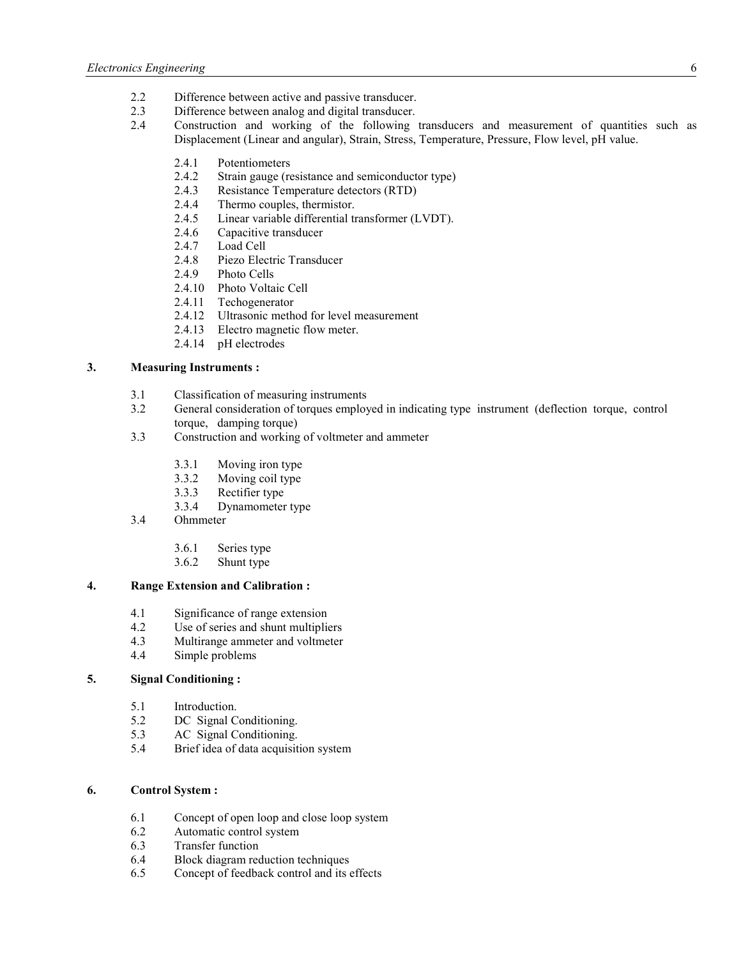- 2.2 Difference between active and passive transducer.
- 2.3 Difference between analog and digital transducer.
- 2.4 Construction and working of the following transducers and measurement of quantities such as Displacement (Linear and angular), Strain, Stress, Temperature, Pressure, Flow level, pH value.
	- 2.4.1 Potentiometers<br>2.4.2 Strain gauge (re
	- Strain gauge (resistance and semiconductor type)
	- 2.4.3 Resistance Temperature detectors (RTD)
	- 2.4.4 Thermo couples, thermistor.<br>2.4.5 Linear variable differential to
	- Linear variable differential transformer (LVDT).
	- 2.4.6 Capacitive transducer
	- 2.4.7 Load Cell
	- 2.4.8 Piezo Electric Transducer
	- 2.4.9 Photo Cells
	- 2.4.10 Photo Voltaic Cell<br>2.4.11 Techogenerator
	- Techogenerator
	- 2.4.12 Ultrasonic method for level measurement
	- 2.4.13 Electro magnetic flow meter.
	- 2.4.14 pH electrodes

# **3. Measuring Instruments :**

- 3.1 Classification of measuring instruments
- 3.2 General consideration of torques employed in indicating type instrument (deflection torque, control torque, damping torque)
- 3.3 Construction and working of voltmeter and ammeter
	- 3.3.1 Moving iron type
	- 3.3.2 Moving coil type<br>3.3.3 Rectifier type
	- Rectifier type
	- 3.3.4 Dynamometer type
- 3.4 Ohmmeter
	- 3.6.1 Series type
	- 3.6.2 Shunt type

#### **4. Range Extension and Calibration :**

- 4.1 Significance of range extension
- 4.2 Use of series and shunt multipliers<br>4.3 Multirange ammeter and voltmeter
- Multirange ammeter and voltmeter
- 4.4 Simple problems

# **5. Signal Conditioning :**

- 5.1 Introduction.<br>5.2 DC Signal C
- DC Signal Conditioning.
- 5.3 AC Signal Conditioning.<br>5.4 Brief idea of data acquisit
- 5.4 Brief idea of data acquisition system

#### **6. Control System :**

- 6.1 Concept of open loop and close loop system<br>6.2 Automatic control system
- Automatic control system
- 6.3 Transfer function
- 6.4 Block diagram reduction techniques<br>6.5 Concept of feedback control and its
- Concept of feedback control and its effects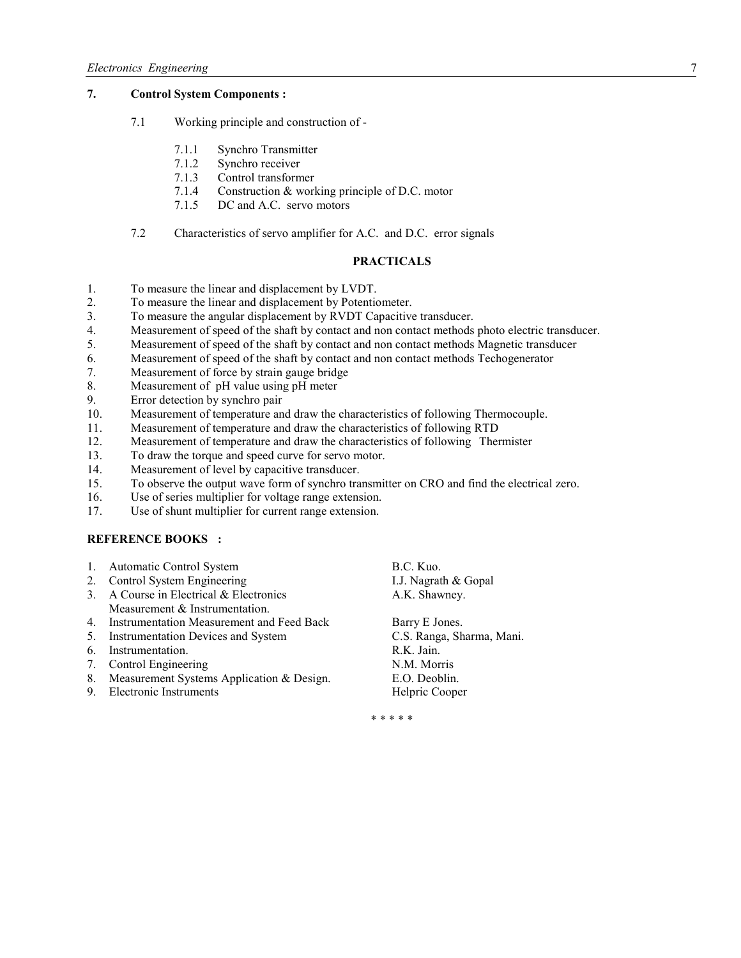# **7. Control System Components :**

- 7.1 Working principle and construction of
	- 7.1.1 Synchro Transmitter
	- 7.1.2 Synchro receiver
	- 7.1.3 Control transformer
	- 7.1.4 Construction & working principle of D.C. motor
	- 7.1.5 DC and A.C. servo motors
- 7.2 Characteristics of servo amplifier for A.C. and D.C. error signals

### **PRACTICALS**

- 1. To measure the linear and displacement by LVDT.
- 2. To measure the linear and displacement by Potentiometer.
- 3. To measure the angular displacement by RVDT Capacitive transducer.
- 4. Measurement of speed of the shaft by contact and non contact methods photo electric transducer.
- 5. Measurement of speed of the shaft by contact and non contact methods Magnetic transducer
- 6. Measurement of speed of the shaft by contact and non contact methods Techogenerator
- 7. Measurement of force by strain gauge bridge
- 8. Measurement of pH value using pH meter<br>9. Error detection by synchro pair
- Error detection by synchro pair
- 10. Measurement of temperature and draw the characteristics of following Thermocouple.
- 11. Measurement of temperature and draw the characteristics of following RTD
- 12. Measurement of temperature and draw the characteristics of following Thermister
- 13. To draw the torque and speed curve for servo motor.
- 14. Measurement of level by capacitive transducer.
- 15. To observe the output wave form of synchro transmitter on CRO and find the electrical zero.
- 16. Use of series multiplier for voltage range extension.
- 17. Use of shunt multiplier for current range extension.

#### **REFERENCE BOOKS :**

- 1. Automatic Control System B.C. Kuo.
- 2. Control System Engineering I.J. Nagrath & Gopal
- 3. A Course in Electrical & Electronics A.K. Shawney. Measurement & Instrumentation.
- 4. Instrumentation Measurement and Feed Back Barry E Jones.
- 5. Instrumentation Devices and System C.S. Ranga, Sharma, Mani.
- 6. Instrumentation. R.K. Jain.
- 7. Control Engineering N.M. Morris
- 8. Measurement Systems Application & Design. E.O. Deoblin.
- 9. Electronic Instruments Helpric Cooper

\* \* \* \* \*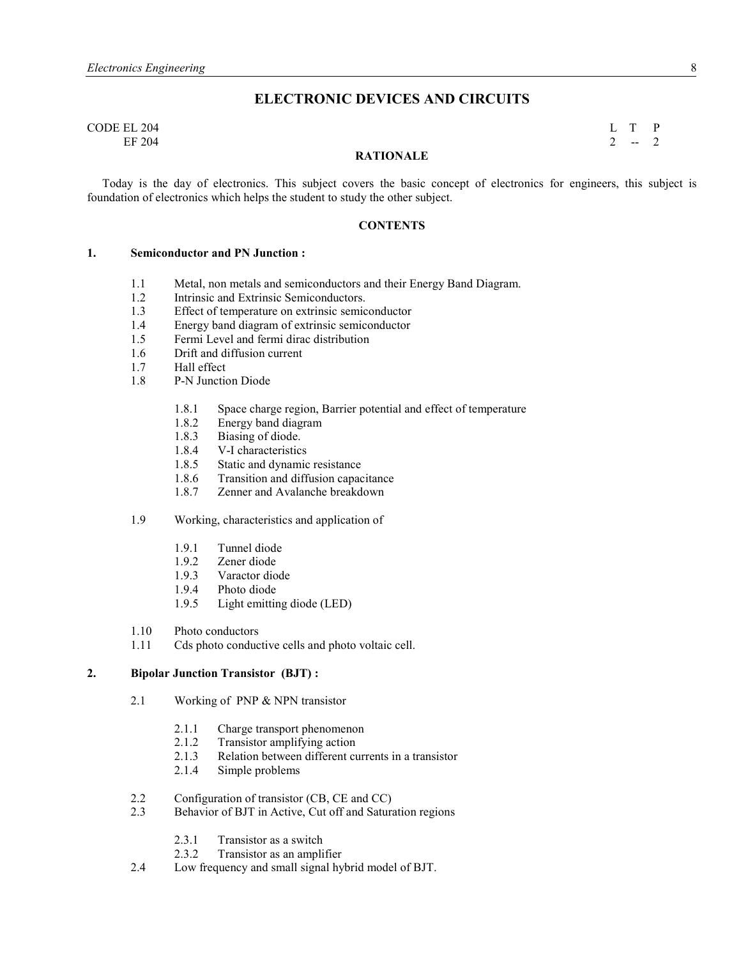# **ELECTRONIC DEVICES AND CIRCUITS**

#### CODE EL 204 L T P EF 204 2  $-2$

#### **RATIONALE**

 Today is the day of electronics. This subject covers the basic concept of electronics for engineers, this subject is foundation of electronics which helps the student to study the other subject.

#### **CONTENTS**

#### **1.** Semiconductor and PN Junction :

- 1.1 Metal, non metals and semiconductors and their Energy Band Diagram.
- 1.2 Intrinsic and Extrinsic Semiconductors.
- 1.3 Effect of temperature on extrinsic semiconductor
- 1.4 Energy band diagram of extrinsic semiconductor<br>1.5 Fermi Level and fermi dirac distribution
- Fermi Level and fermi dirac distribution
- 1.6 Drift and diffusion current
- 1.7 Hall effect<br>1.8 P-N Junction
- P-N Junction Diode
	- 1.8.1 Space charge region, Barrier potential and effect of temperature 1.8.2 Energy band diagram
	- Energy band diagram
	- 1.8.3 Biasing of diode.
	- 1.8.4 V-I characteristics
	- 1.8.5 Static and dynamic resistance
	- 1.8.6 Transition and diffusion capacitance
	- 1.8.7 Zenner and Avalanche breakdown

#### 1.9 Working, characteristics and application of

- 1.9.1 Tunnel diode
- 1.9.2 Zener diode
- 1.9.3 Varactor diode
- 1.9.4 Photo diode
- 1.9.5 Light emitting diode (LED)
- 1.10 Photo conductors
- 1.11 Cds photo conductive cells and photo voltaic cell.

#### **2. Bipolar Junction Transistor (BJT) :**

- 2.1 Working of PNP & NPN transistor
	- 2.1.1 Charge transport phenomenon
	- 2.1.2 Transistor amplifying action
	- 2.1.3 Relation between different currents in a transistor
	- 2.1.4 Simple problems
- 2.2 Configuration of transistor (CB, CE and CC)
- 2.3 Behavior of BJT in Active, Cut off and Saturation regions
	- 2.3.1 Transistor as a switch
	- 2.3.2 Transistor as an amplifier
- 2.4 Low frequency and small signal hybrid model of BJT.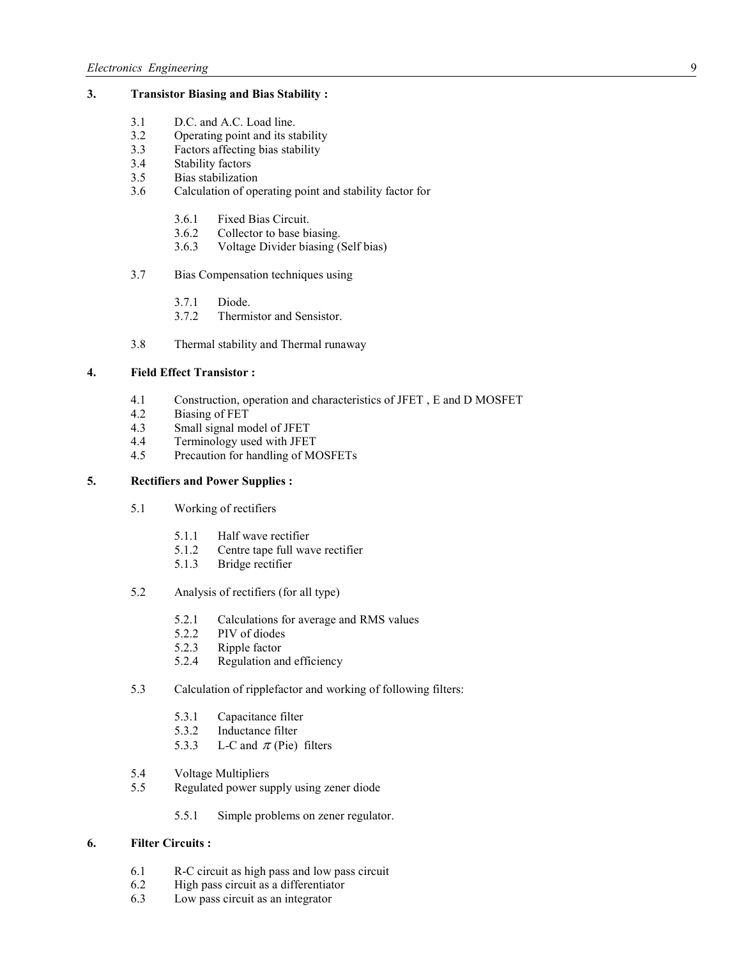# **3. Transistor Biasing and Bias Stability :**

- 3.1 D.C. and A.C. Load line.
- 3.2 Operating point and its stability<br>3.3 Factors affecting bias stability
- Factors affecting bias stability
- 3.4 Stability factors
- 3.5 Bias stabilization
- 3.6 Calculation of operating point and stability factor for
	- 3.6.1 Fixed Bias Circuit.
	- 3.6.2 Collector to base biasing.
	- 3.6.3 Voltage Divider biasing (Self bias)
- 3.7 Bias Compensation techniques using
	- 3.7.1 Diode.
	- 3.7.2 Thermistor and Sensistor.
- 3.8 Thermal stability and Thermal runaway

# **4. Field Effect Transistor :**

- 4.1 Construction, operation and characteristics of JFET, E and D MOSFET 4.2 Biasing of FET
- Biasing of FET
- 4.3 Small signal model of JFET<br>4.4 Terminology used with JFET
- Terminology used with JFET
- 4.5 Precaution for handling of MOSFETs

#### **5. Rectifiers and Power Supplies :**

- 5.1 Working of rectifiers
	- 5.1.1 Half wave rectifier
	- 5.1.2 Centre tape full wave rectifier
	- 5.1.3 Bridge rectifier
- 5.2 Analysis of rectifiers (for all type)
	- 5.2.1 Calculations for average and RMS values
	- 5.2.2 PIV of diodes
	- 5.2.3 Ripple factor
	- 5.2.4 Regulation and efficiency
- 5.3 Calculation of ripplefactor and working of following filters:
	- 5.3.1 Capacitance filter
	- 5.3.2 Inductance filter
	- 5.3.3 L-C and  $\pi$  (Pie) filters
- 5.4 Voltage Multipliers
- 5.5 Regulated power supply using zener diode
	- 5.5.1 Simple problems on zener regulator.

#### **6. Filter Circuits :**

- 6.1 R-C circuit as high pass and low pass circuit
- 6.2 High pass circuit as a differentiator<br>6.3 Low pass circuit as an integrator
- Low pass circuit as an integrator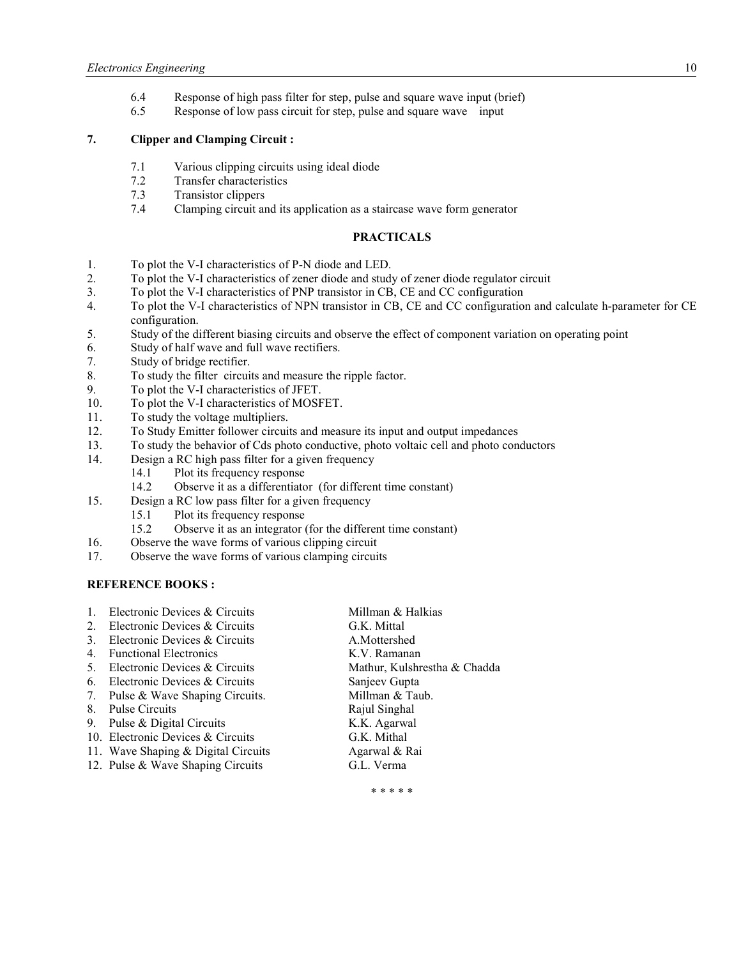- 6.4 Response of high pass filter for step, pulse and square wave input (brief)
- 6.5 Response of low pass circuit for step, pulse and square wave input

# **7. Clipper and Clamping Circuit :**

- 7.1 Various clipping circuits using ideal diode<br>7.2 Transfer characteristics
- Transfer characteristics
- 7.3 Transistor clippers
- 7.4 Clamping circuit and its application as a staircase wave form generator

#### **PRACTICALS**

- 1. To plot the V-I characteristics of P-N diode and LED.
- 2. To plot the V-I characteristics of zener diode and study of zener diode regulator circuit
- 3. To plot the V-I characteristics of PNP transistor in CB, CE and CC configuration
- 4. To plot the V-I characteristics of NPN transistor in CB, CE and CC configuration and calculate h-parameter for CE configuration.
- 5. Study of the different biasing circuits and observe the effect of component variation on operating point
- 6. Study of half wave and full wave rectifiers.
- 7. Study of bridge rectifier.
- 8. To study the filter circuits and measure the ripple factor.
- 9. To plot the V-I characteristics of JFET.
- 10. To plot the V-I characteristics of MOSFET.
- 11. To study the voltage multipliers.
- 12. To Study Emitter follower circuits and measure its input and output impedances
- 13. To study the behavior of Cds photo conductive, photo voltaic cell and photo conductors
- 14. Design a RC high pass filter for a given frequency
	- 14.1 Plot its frequency response
- 14.2 Observe it as a differentiator (for different time constant)<br>15. Design a RC low pass filter for a given frequency
- Design a RC low pass filter for a given frequency
	- 15.1 Plot its frequency response
	- 15.2 Observe it as an integrator (for the different time constant)
- 16. Observe the wave forms of various clipping circuit
- 17. Observe the wave forms of various clamping circuits

### **REFERENCE BOOKS:**

|             | Electronic Devices & Circuits       | Millman & Halkias            |
|-------------|-------------------------------------|------------------------------|
| $2_{\cdot}$ | Electronic Devices & Circuits       | G.K. Mittal                  |
|             | Electronic Devices & Circuits       | A.Mottershed                 |
| 4.          | <b>Functional Electronics</b>       | K.V. Ramanan                 |
| 5.          | Electronic Devices & Circuits       | Mathur, Kulshrestha & Chadda |
| 6.          | Electronic Devices & Circuits       | Sanjeev Gupta                |
| 7.          | Pulse & Wave Shaping Circuits.      | Millman & Taub.              |
| 8.          | Pulse Circuits                      | Rajul Singhal                |
| 9.          | Pulse & Digital Circuits            | K.K. Agarwal                 |
|             | 10. Electronic Devices & Circuits   | G.K. Mithal                  |
|             | 11. Wave Shaping & Digital Circuits | Agarwal & Rai                |
|             |                                     |                              |

12. Pulse & Wave Shaping Circuits G.L. Verma

\* \* \* \* \*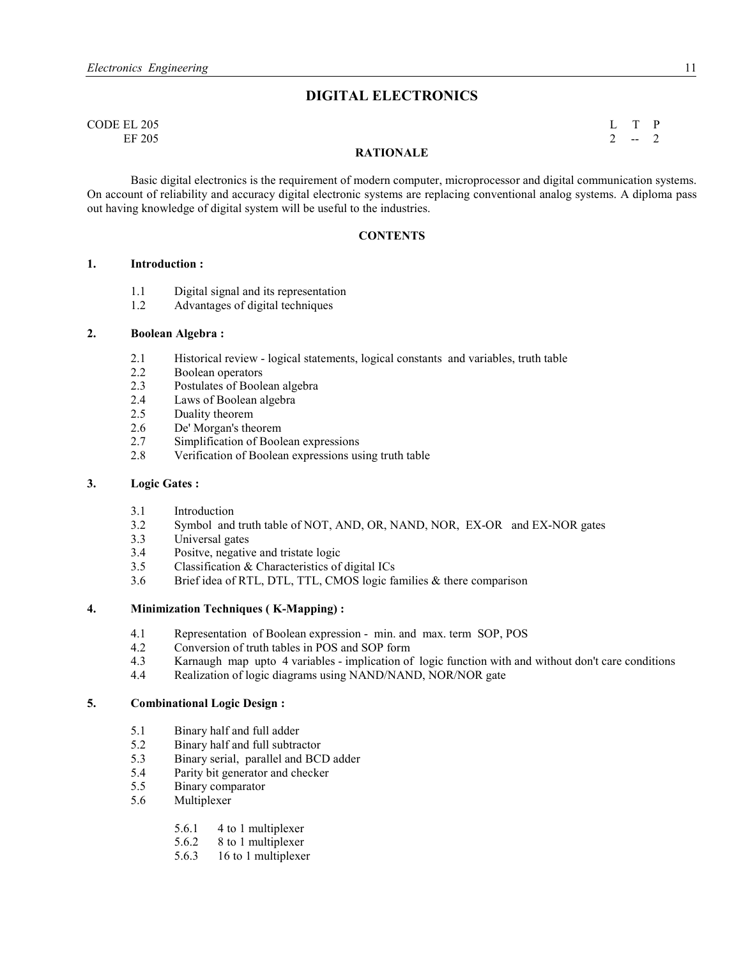# **DIGITAL ELECTRONICS**

| CODE EL 205 |                  | $I$ T P |
|-------------|------------------|---------|
| EF 205      |                  | $2 - 2$ |
|             | <b>DATIONALE</b> |         |

#### **RATIOALE**

Basic digital electronics is the requirement of modern computer, microprocessor and digital communication systems. On account of reliability and accuracy digital electronic systems are replacing conventional analog systems. A diploma pass out having knowledge of digital system will be useful to the industries.

#### **CONTENTS**

#### **1. Introduction :**

- 1.1 Digital signal and its representation
- 1.2 Advantages of digital techniques

#### **2. Boolean Algebra :**

- 2.1 Historical review logical statements, logical constants and variables, truth table 2.2 Boolean operators
- 2.2 Boolean operators<br>2.3 Postulates of Boole
- 2.3 Postulates of Boolean algebra<br>2.4 Laws of Boolean algebra
- 2.4 Laws of Boolean algebra<br>2.5 Duality theorem
- Duality theorem
- 2.6 De' Morgan's theorem<br>2.7 Simplification of Book
- Simplification of Boolean expressions
- 2.8 Verification of Boolean expressions using truth table

#### **3. Logic Gates :**

- 3.1 Introduction<br>3.2 Symbol and
- Symbol and truth table of NOT, AND, OR, NAND, NOR, EX-OR and EX-NOR gates
- 3.3 Universal gates
- 3.4 Positve, negative and tristate logic<br>3.5 Classification & Characteristics of
- Classification & Characteristics of digital ICs
- 3.6 Brief idea of RTL, DTL, TTL, CMOS logic families & there comparison

#### **4. Minimization Techniques ( K-Mapping) :**

- 4.1 Representation of Boolean expression min. and max. term SOP, POS 4.2 Conversion of truth tables in POS and SOP form
- Conversion of truth tables in POS and SOP form
- 4.3 Karnaugh map upto 4 variables implication of logic function with and without don't care conditions
- 4.4 Realization of logic diagrams using NAND/NAND, NOR/NOR gate

#### **5. Combinational Logic Design :**

- 5.1 Binary half and full adder
- 5.2 Binary half and full subtractor<br>5.3 Binary serial, parallel and BCI
- 5.3 Binary serial, parallel and BCD adder
- 5.4 Parity bit generator and checker<br>5.5 Binary comparator
- 5.5 Binary comparator
- 5.6 Multiplexer
	- 5.6.1 4 to 1 multiplexer
	- 5.6.2 8 to 1 multiplexer
	- 5.6.3 16 to 1 multiplexer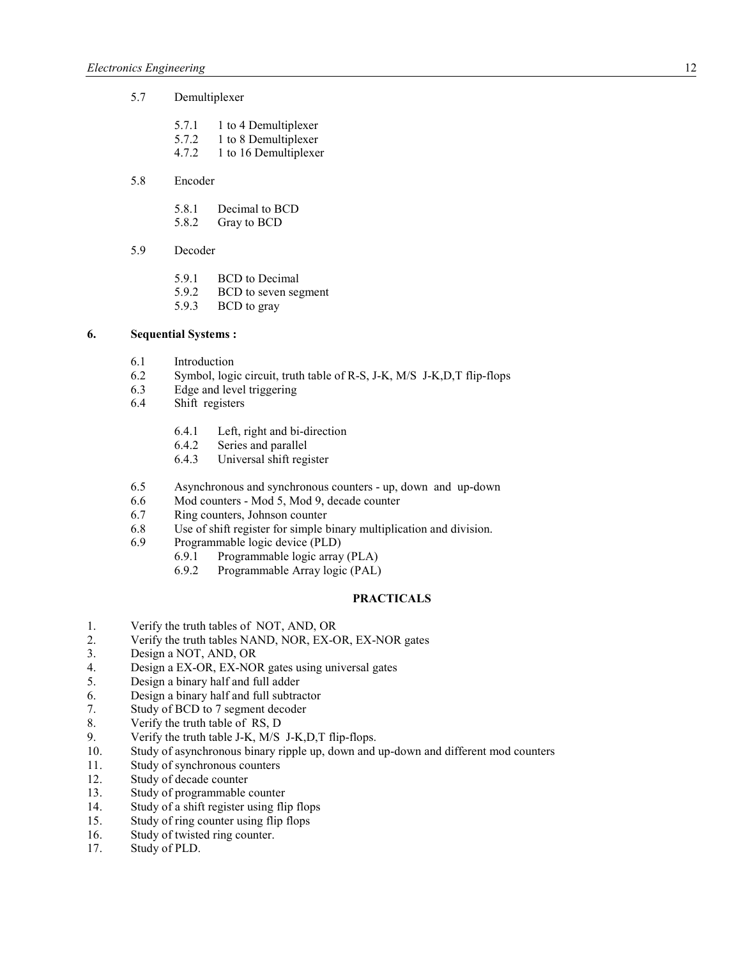- 5.7 Demultiplexer
	- 5.7.1 1 to 4 Demultiplexer
	- 5.7.2 1 to 8 Demultiplexer<br>4.7.2 1 to 16 Demultiplexer
	- 1 to 16 Demultiplexer
- 5.8 Encoder
	- 5.8.1 Decimal to BCD
	- 5.8.2 Gray to BCD
- 5.9 Decoder
	- 5.9.1 BCD to Decimal
	- 5.9.2 BCD to seven segment
	- 5.9.3 BCD to gray

#### **6. Sequential Systems :**

- 6.1 Introduction
- 6.2 Symbol, logic circuit, truth table of R-S, J-K, M/S J-K,D,T flip-flops
- 6.3 Edge and level triggering
- 6.4 Shift registers
	- 6.4.1 Left, right and bi-direction
	- 6.4.2 Series and parallel
	- 6.4.3 Universal shift register
- 6.5 Asynchronous and synchronous counters up, down and up-down
- 6.6 Mod counters Mod 5, Mod 9, decade counter
- 6.7 Ring counters, Johnson counter
- 6.8 Use of shift register for simple binary multiplication and division.
- 6.9 Programmable logic device (PLD)
	- 6.9.1 Programmable logic array (PLA)
	- 6.9.2 Programmable Array logic (PAL)

# **PRACTICALS**

- 1. Verify the truth tables of NOT, AND, OR
- 2. Verify the truth tables NAND, NOR, EX-OR, EX-NOR gates
- 3. Design a NOT, AND, OR
- 4. Design a EX-OR, EX-NOR gates using universal gates
- 5. Design a binary half and full adder
- 6. Design a binary half and full subtractor
- 7. Study of BCD to 7 segment decoder
- 8. Verify the truth table of RS, D
- 9. Verify the truth table J-K, M/S J-K, D, T flip-flops.<br>10. Study of asynchronous binary ripple up. down and
- Study of asynchronous binary ripple up, down and up-down and different mod counters
- 11. Study of synchronous counters
- 12. Study of decade counter<br>13. Study of programmable of
- Study of programmable counter
- 14. Study of a shift register using flip flops
- 15. Study of ring counter using flip flops
- 16. Study of twisted ring counter.
- 17. Study of PLD.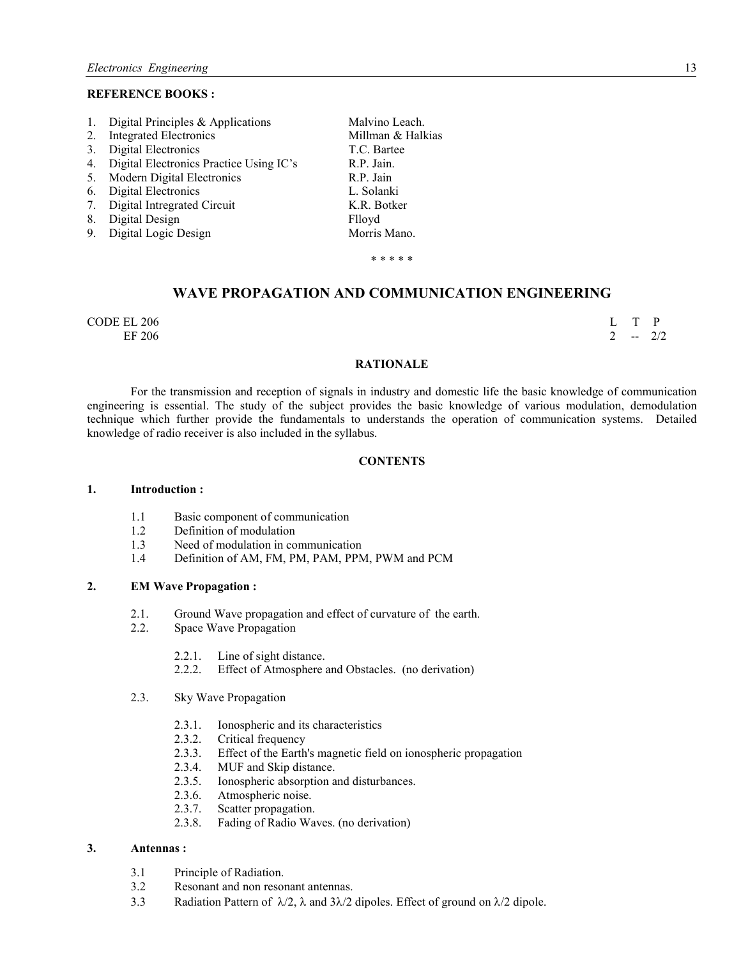#### **REFERENCE BOOKS:**

| 1.             | Digital Principles & Applications          | Malvino Leach.    |
|----------------|--------------------------------------------|-------------------|
| 2.             | Integrated Electronics                     | Millman & Halkias |
| 3 <sub>1</sub> | Digital Electronics                        | T.C. Bartee       |
|                | 4. Digital Electronics Practice Using IC's | R.P. Jain.        |
| 5.             | <b>Modern Digital Electronics</b>          | R.P. Jain         |
| 6.             | Digital Electronics                        | L. Solanki        |
|                | 7. Digital Intregrated Circuit             | K.R. Botker       |
| 8.             | Digital Design                             | Flloyd            |
| 9.             | Digital Logic Design                       | Morris Mano.      |
|                |                                            | * * * * *         |

# **WAVE PROPAGATION AND COMMUNICATION ENGINEERING**

 $\Box$  CODE EL 206 L T P EF 206 2  $-2/2$ 

#### **RATIONALE**

 For the transmission and reception of signals in industry and domestic life the basic knowledge of communication engineering is essential. The study of the subject provides the basic knowledge of various modulation, demodulation technique which further provide the fundamentals to understands the operation of communication systems. Detailed knowledge of radio receiver is also included in the syllabus.

#### **CONTENTS**

#### **1. Introduction :**

- 1.1 Basic component of communication
- 1.2 Definition of modulation
- 1.3 Need of modulation in communication
- 1.4 Definition of AM, FM, PM, PAM, PPM, PWM and PCM

#### **2. EM Wave Propagation :**

- 2.1. Ground Wave propagation and effect of curvature of the earth.
- 2.2. Space Wave Propagation
	- 2.2.1. Line of sight distance.
	- 2.2.2. Effect of Atmosphere and Obstacles. (no derivation)
- 2.3. Sky Wave Propagation
	- 2.3.1. Ionospheric and its characteristics<br>2.3.2. Critical frequency
	- Critical frequency
	- 2.3.3. Effect of the Earth's magnetic field on ionospheric propagation
	- 2.3.4. MUF and Skip distance.<br>2.3.5. Ionospheric absorption a
	- Ionospheric absorption and disturbances.
	- 2.3.6. Atmospheric noise.
	- 2.3.7. Scatter propagation.<br>2.3.8. Fading of Radio Wa
	- Fading of Radio Waves. (no derivation)

#### **3. Antennas :**

- 3.1 Principle of Radiation.
- 3.2 Resonant and non resonant antennas.
- 3.3 Radiation Pattern of  $\lambda/2$ ,  $\lambda$  and  $3\lambda/2$  dipoles. Effect of ground on  $\lambda/2$  dipole.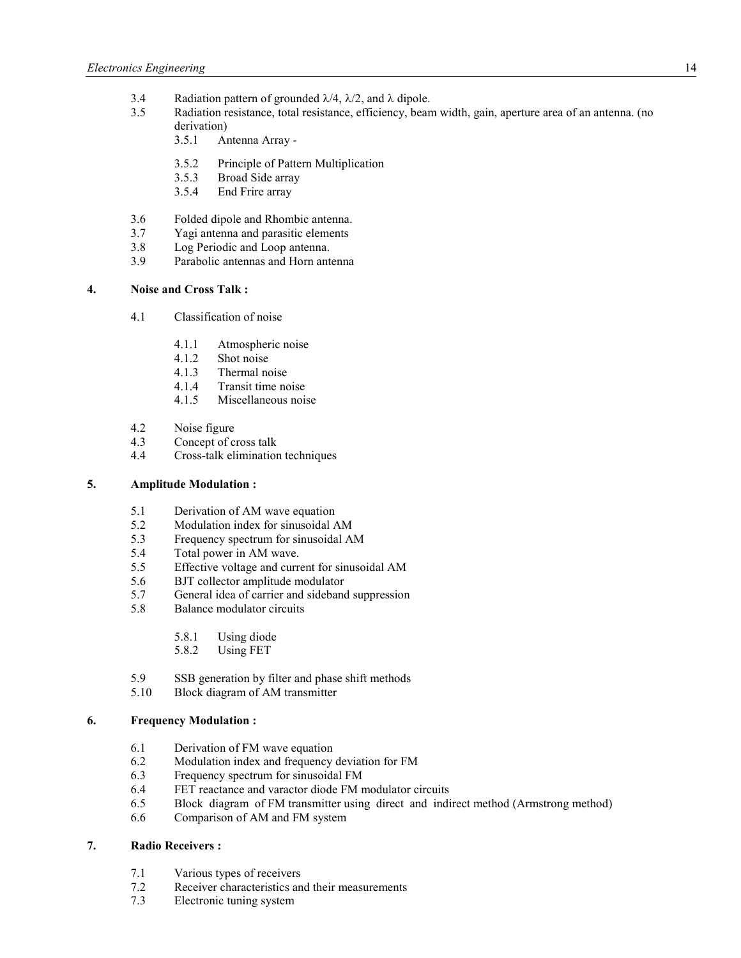- 3.4 Radiation pattern of grounded  $\lambda/4$ ,  $\lambda/2$ , and  $\lambda$  dipole.<br>3.5 Radiation resistance total resistance efficiency bean
- Radiation resistance, total resistance, efficiency, beam width, gain, aperture area of an antenna. (no derivation)
	- 3.5.1 Antenna Array -
	- 3.5.2 Principle of Pattern Multiplication
	- 3.5.3 Broad Side array
	- 3.5.4 End Frire array
- 3.6 Folded dipole and Rhombic antenna.
- 3.7 Yagi antenna and parasitic elements
- 3.8 Log Periodic and Loop antenna.<br>3.9 Parabolic antennas and Horn ante
- Parabolic antennas and Horn antenna

#### **4. oise and Cross Talk :**

- 4.1 Classification of noise
	- 4.1.1 Atmospheric noise<br>4.1.2 Shot noise
	- 4.1.2 Shot noise<br>4.1.3 Thermal no
	- Thermal noise
	- 4.1.4 Transit time noise
	- 4.1.5 Miscellaneous noise
- 4.2 Noise figure<br>4.3 Concept of c
- Concept of cross talk
- 4.4 Cross-talk elimination techniques

### **5. Amplitude Modulation :**

- 5.1 Derivation of AM wave equation<br>5.2 Modulation index for sinusoidal A
- 5.2 Modulation index for sinusoidal AM
- 5.3 Frequency spectrum for sinusoidal AM
- 5.4 Total power in AM wave.<br>5.5 Effective voltage and currency
- 5.5 Effective voltage and current for sinusoidal AM
- 5.6 BJT collector amplitude modulator<br>5.7 General idea of carrier and sidebane
- 5.7 General idea of carrier and sideband suppression<br>5.8 Balance modulator circuits
- 5.8 Balance modulator circuits
	- 5.8.1 Using diode
	- 5.8.2 Using FET
- 5.9 SSB generation by filter and phase shift methods<br>5.10 Block diagram of AM transmitter
- 5.10 Block diagram of AM transmitter

#### **6. Frequency Modulation :**

- 6.1 Derivation of FM wave equation
- 6.2 Modulation index and frequency deviation for FM
- 6.3 Frequency spectrum for sinusoidal FM
- 6.4 FET reactance and varactor diode FM modulator circuits
- 6.5 Block diagram of FM transmitter using direct and indirect method (Armstrong method)
- 6.6 Comparison of AM and FM system

# **7. Radio Receivers :**

- 7.1 Various types of receivers
- 7.2 Receiver characteristics and their measurements
- 7.3 Electronic tuning system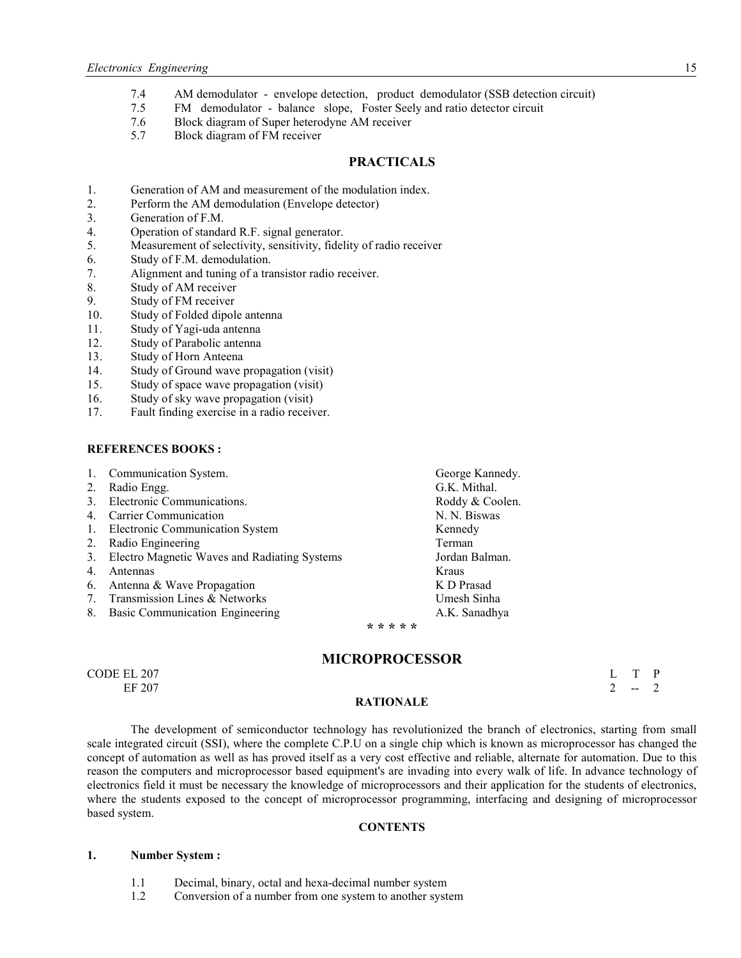- 7.4 AM demodulator envelope detection, product demodulator (SSB detection circuit)<br>7.5 FM demodulator balance slope, Foster Seely and ratio detector circuit
- FM demodulator balance slope, Foster Seely and ratio detector circuit
- 7.6 Block diagram of Super heterodyne AM receiver
- 5.7 Block diagram of FM receiver

#### **PRACTICALS**

- 1. Generation of AM and measurement of the modulation index.
- 2. Perform the AM demodulation (Envelope detector)
- 3. Generation of F.M.
- 4. Operation of standard R.F. signal generator.
- 5. Measurement of selectivity, sensitivity, fidelity of radio receiver
- 6. Study of F.M. demodulation.<br>7. Alignment and tuning of a tra
- Alignment and tuning of a transistor radio receiver.
- 8. Study of AM receiver
- 9. Study of FM receiver
- 10. Study of Folded dipole antenna
- 11. Study of Yagi-uda antenna
- 12. Study of Parabolic antenna
- 13. Study of Horn Anteena
- 14. Study of Ground wave propagation (visit)
- 15. Study of space wave propagation (visit)
- 16. Study of sky wave propagation (visit)
- 17. Fault finding exercise in a radio receiver.

#### **REFERENCES BOOKS :**

| 1.                              | Communication System.                        | George Kannedy. |
|---------------------------------|----------------------------------------------|-----------------|
| 2.                              | Radio Engg.                                  | G.K. Mithal.    |
| 3 <sub>1</sub>                  | Electronic Communications.                   | Roddy & Coolen. |
| 4.                              | Carrier Communication                        | N. N. Biswas    |
| 1.                              | Electronic Communication System              | Kennedy         |
| 2.                              | Radio Engineering                            | Terman          |
| 3.                              | Electro Magnetic Waves and Radiating Systems | Jordan Balman.  |
| 4.                              | Antennas                                     | Kraus           |
| 6.                              | Antenna & Wave Propagation                   | K D Prasad      |
| $7_{\scriptscriptstyle{\circ}}$ | Transmission Lines & Networks                | Umesh Sinha     |
| 8.                              | Basic Communication Engineering              | A.K. Sanadhya   |
|                                 |                                              |                 |

#### **\* \* \* \* \***

#### **MICROPROCESSOR**

| CODE EL 207 |                    |                          | T P    |
|-------------|--------------------|--------------------------|--------|
| EF 207      |                    | <b>Contract Contract</b> | $\sim$ |
|             | <b>DATION AT R</b> |                          |        |

# **RATIOALE**

The development of semiconductor technology has revolutionized the branch of electronics, starting from small scale integrated circuit (SSI), where the complete C.P.U on a single chip which is known as microprocessor has changed the concept of automation as well as has proved itself as a very cost effective and reliable, alternate for automation. Due to this reason the computers and microprocessor based equipment's are invading into every walk of life. In advance technology of electronics field it must be necessary the knowledge of microprocessors and their application for the students of electronics, where the students exposed to the concept of microprocessor programming, interfacing and designing of microprocessor based system.

#### **CONTENTS**

#### **1. umber System :**

- 1.1 Decimal, binary, octal and hexa-decimal number system
- 1.2 Conversion of a number from one system to another system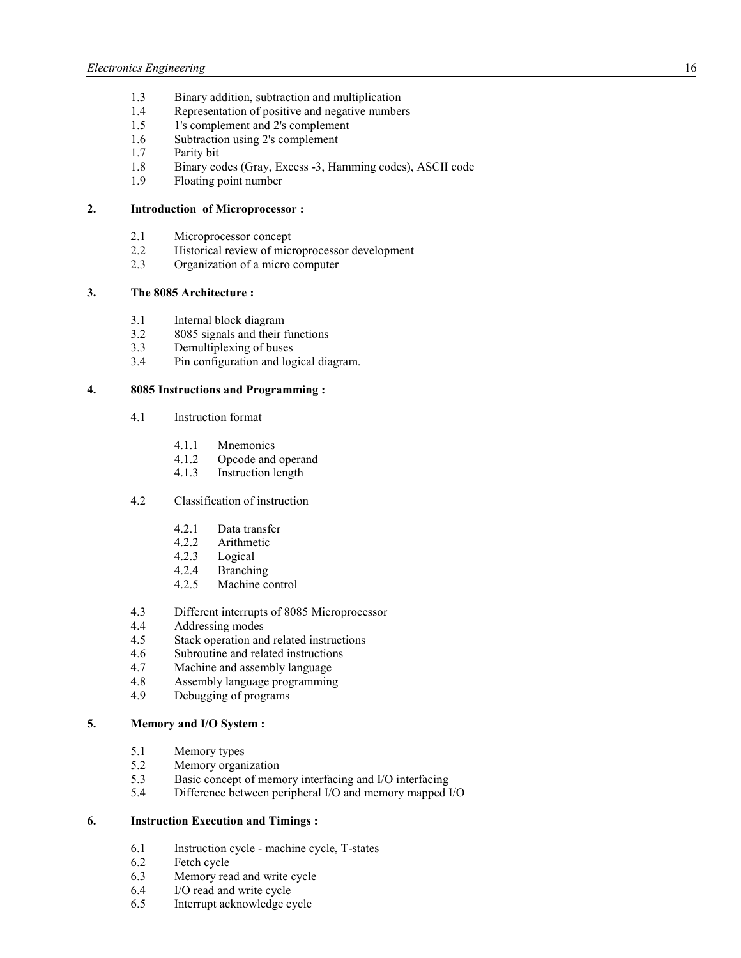- 1.3 Binary addition, subtraction and multiplication
- 1.4 Representation of positive and negative numbers
- 1.5 1's complement and 2's complement
- 1.6 Subtraction using 2's complement<br>1.7 Parity bit
- 1.7 Parity bit<br>1.8 Binary co
- 1.8 Binary codes (Gray, Excess -3, Hamming codes), ASCII code
- 1.9 Floating point number

#### **2. Introduction of Microprocessor :**

- 2.1 Microprocessor concept<br>2.2 Historical review of microsoft
- Historical review of microprocessor development
- 2.3 Organization of a micro computer

# **3. The 8085 Architecture :**

- 3.1 Internal block diagram<br>3.2 8085 signals and their f
- 8085 signals and their functions
- 3.3 Demultiplexing of buses
- 3.4 Pin configuration and logical diagram.

#### **4. 8085 Instructions and Programming :**

- 4.1 Instruction format
	- 4.1.1 Mnemonics
	- 4.1.2 Opcode and operand
	- 4.1.3 Instruction length
- 4.2 Classification of instruction
	- 4.2.1 Data transfer
	- 4.2.2 Arithmetic
	- 4.2.3 Logical
	- 4.2.4 Branching
	- 4.2.5 Machine control
- 4.3 Different interrupts of 8085 Microprocessor<br>4.4 Addressing modes
- 4.4 Addressing modes
- 4.5 Stack operation and related instructions
- 4.6 Subroutine and related instructions
- 4.7 Machine and assembly language
- 4.8 Assembly language programming
- 4.9 Debugging of programs

### **5. Memory and I/O System :**

- 5.1 Memory types<br>5.2 Memory organ
- 5.2 Memory organization<br>5.3 Basic concept of mem
- 5.3 Basic concept of memory interfacing and I/O interfacing<br>5.4 Difference between peripheral I/O and memory mapped I
- Difference between peripheral I/O and memory mapped I/O

#### **6. Instruction Execution and Timings :**

- 6.1 Instruction cycle machine cycle, T-states
- 6.2 Fetch cycle
- 6.3 Memory read and write cycle
- 6.4 I/O read and write cycle
- 6.5 Interrupt acknowledge cycle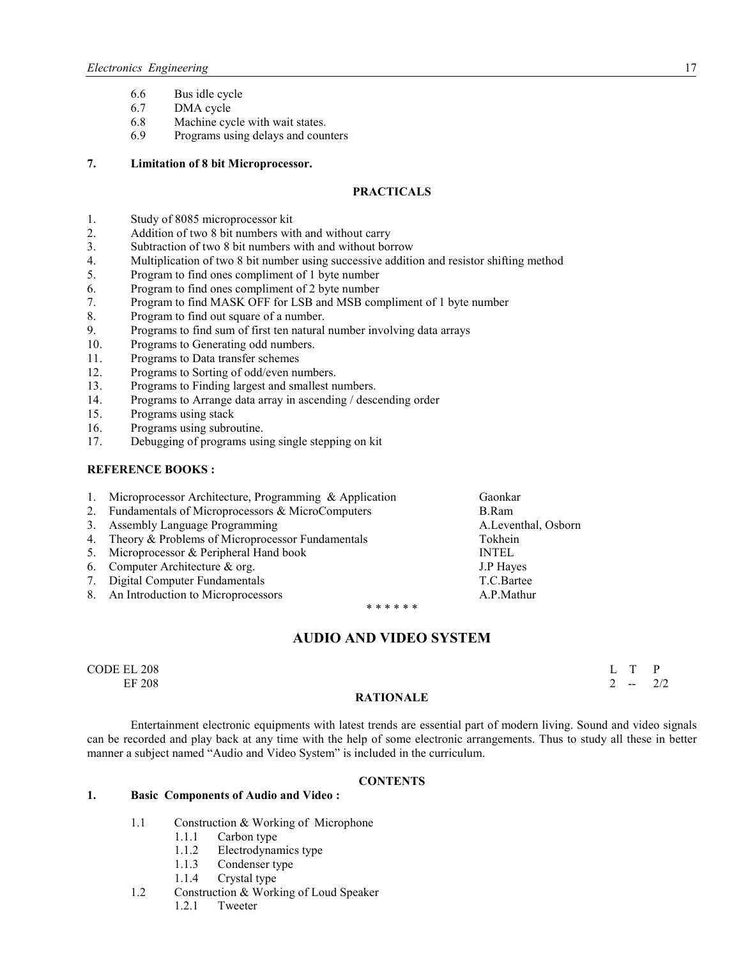- 6.6 Bus idle cycle<br>6.7 DMA cycle
- DMA cycle
- 6.8 Machine cycle with wait states.
- 6.9 Programs using delays and counters

#### **7. Limitation of 8 bit Microprocessor.**

## **PRACTICALS**

- 1. Study of 8085 microprocessor kit<br>2. Addition of two 8 bit numbers with
- Addition of two 8 bit numbers with and without carry
- 3. Subtraction of two 8 bit numbers with and without borrow
- 4. Multiplication of two 8 bit number using successive addition and resistor shifting method 5. Program to find ones compliment of 1 byte number
- Program to find ones compliment of 1 byte number
- 6. Program to find ones compliment of 2 byte number
- 7. Program to find MASK OFF for LSB and MSB compliment of 1 byte number
- 8. Program to find out square of a number.
- 9. Programs to find sum of first ten natural number involving data arrays
- 10. Programs to Generating odd numbers.<br>11. Programs to Data transfer schemes
- Programs to Data transfer schemes
- 12. Programs to Sorting of odd/even numbers.
- 13. Programs to Finding largest and smallest numbers.<br>14. Programs to Arrange data array in ascending / desc
- 14. Programs to Arrange data array in ascending / descending order 15. Programs using stack
- Programs using stack
- 16. Programs using subroutine.<br>17. Debugging of programs using
- Debugging of programs using single stepping on kit

#### **REFERENCE BOOKS:**

| $\mathbf{1}$ . | Microprocessor Architecture, Programming & Application | Gaonkar             |
|----------------|--------------------------------------------------------|---------------------|
|                | 2. Fundamentals of Microprocessors & MicroComputers    | B.Ram               |
|                | 3. Assembly Language Programming                       | A.Leventhal, Osborn |
|                | 4. Theory & Problems of Microprocessor Fundamentals    | Tokhein             |
|                | 5. Microprocessor & Peripheral Hand book               | <b>INTEL</b>        |
|                | 6. Computer Architecture $\&$ org.                     | J.P Hayes           |
|                | 7. Digital Computer Fundamentals                       | T.C.Bartee          |
|                | 8. An Introduction to Microprocessors                  | A.P.Mathur          |
|                | * * * * * *                                            |                     |

# **AUDIO AD VIDEO SYSTEM**

CODE EL 208 L T P EF 208 2 -- 2/2

#### **RATIONALE**

Entertainment electronic equipments with latest trends are essential part of modern living. Sound and video signals can be recorded and play back at any time with the help of some electronic arrangements. Thus to study all these in better manner a subject named "Audio and Video System" is included in the curriculum.

# **CONTENTS**

#### **1. Basic Components of Audio and Video :**

- 1.1 Construction & Working of Microphone
	- 1.1.1 Carbon type
	- 1.1.2 Electrodynamics type<br>1.1.3 Condenser type
	- Condenser type
	- 1.1.4 Crystal type
- 1.2 Construction & Working of Loud Speaker
	- 1.2.1 Tweeter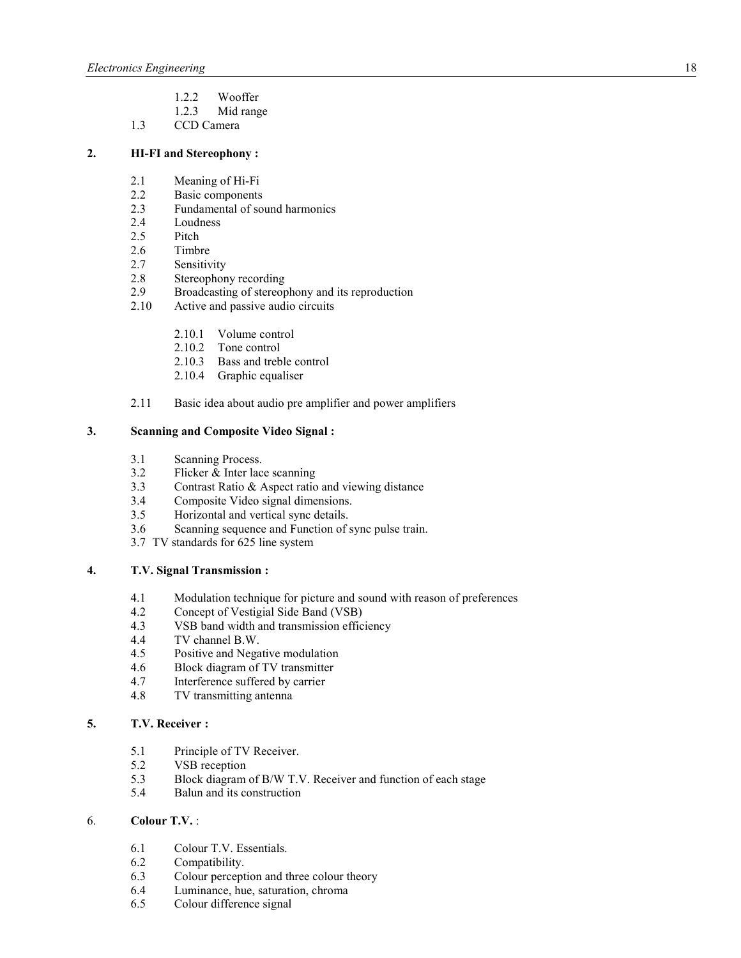- 1.2.2 Wooffer
- 1.2.3 Mid range
- 1.3 CCD Camera

# **2. HI-FI and Stereophony :**

- 2.1 Meaning of Hi-Fi
- 2.2 Basic components
- 2.3 Fundamental of sound harmonics
- 2.4 Loudness<br>2.5 Pitch
- Pitch
- 2.6 Timbre
- 2.7 Sensitivity
- 2.8 Stereophony recording<br>2.9 Broadcasting of stereop
- Broadcasting of stereophony and its reproduction
- 2.10 Active and passive audio circuits
	- 2.10.1 Volume control
	- 2.10.2 Tone control
	- 2.10.3 Bass and treble control
	- 2.10.4 Graphic equaliser
- 2.11 Basic idea about audio pre amplifier and power amplifiers

### **3. Scanning and Composite Video Signal :**

- 3.1 Scanning Process.
- 3.2 Flicker & Inter lace scanning
- 3.3 Contrast Ratio & Aspect ratio and viewing distance<br>3.4 Composite Video signal dimensions.
- Composite Video signal dimensions.
- 3.5 Horizontal and vertical sync details.
- 3.6 Scanning sequence and Function of sync pulse train.
- 3.7 TV standards for 625 line system

# **4. T.V. Signal Transmission :**

- 4.1 Modulation technique for picture and sound with reason of preferences<br>4.2 Concept of Vestigial Side Band (VSB)
- 4.2 Concept of Vestigial Side Band (VSB)<br>4.3 VSB band width and transmission effic
- VSB band width and transmission efficiency
- 4.4 TV channel B.W.
- 4.5 Positive and Negative modulation
- 4.6 Block diagram of TV transmitter
- 4.7 Interference suffered by carrier
- 4.8 TV transmitting antenna

### **5. T.V. Receiver :**

- 5.1 Principle of TV Receiver.<br>5.2 VSB reception
- 5.2 VSB reception<br>5.3 Block diagram
- 5.3 Block diagram of B/W T.V. Receiver and function of each stage<br>5.4 Balun and its construction
- 5.4 Balun and its construction

### 6. **Colour T.V.** :

- 6.1 Colour T.V. Essentials.
- 6.2 Compatibility.
- 6.3 Colour perception and three colour theory
- 6.4 Luminance, hue, saturation, chroma
- 6.5 Colour difference signal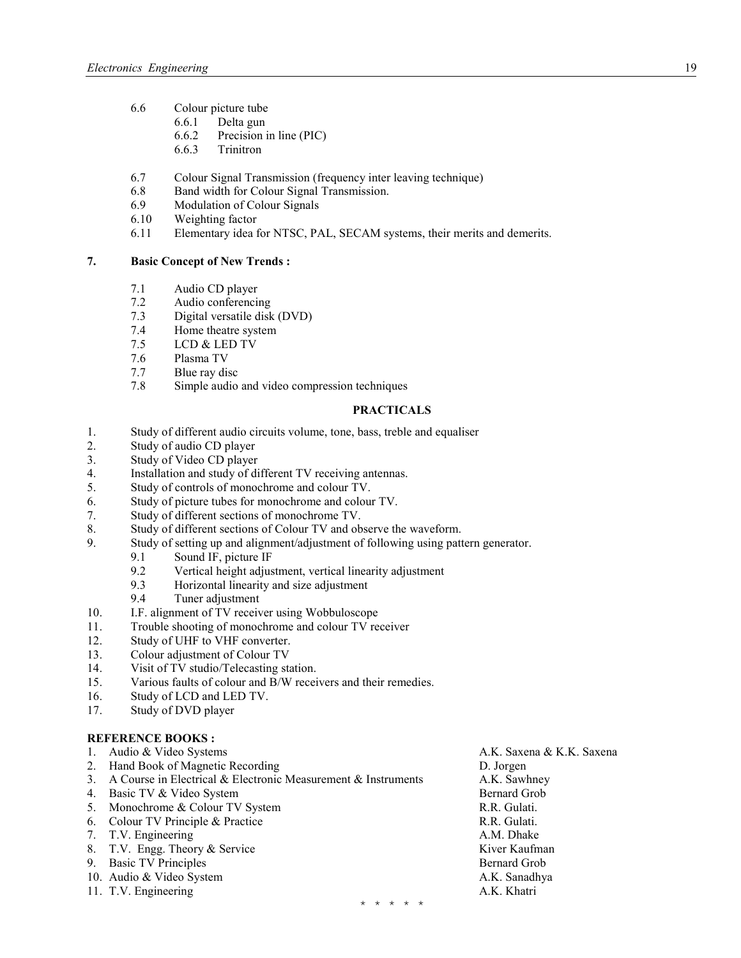- 6.6 Colour picture tube
	- 6.6.1 Delta gun
	- 6.6.2 Precision in line (PIC)<br>6.6.3 Trinitron
	- **Trinitron**
- 6.7 Colour Signal Transmission (frequency inter leaving technique)
- 6.8 Band width for Colour Signal Transmission.
- 6.9 Modulation of Colour Signals
- 6.10 Weighting factor
- 6.11 Elementary idea for NTSC, PAL, SECAM systems, their merits and demerits.

# **7.** Basic Concept of New Trends :

- 7.1 Audio CD player
- 7.2 Audio conferencing
- 7.3 Digital versatile disk (DVD)
- 7.4 Home theatre system
- 7.5 LCD & LED TV<br>7.6 Plasma TV
- Plasma TV
- 7.7 Blue ray disc
- 7.8 Simple audio and video compression techniques

# **PRACTICALS**

- 1. Study of different audio circuits volume, tone, bass, treble and equaliser
- 2. Study of audio CD player
- 3. Study of Video CD player
- 4. Installation and study of different TV receiving antennas.
- 5. Study of controls of monochrome and colour TV.
- 6. Study of picture tubes for monochrome and colour TV.
- 7. Study of different sections of monochrome TV.
- 8. Study of different sections of Colour TV and observe the waveform.
- 9. Study of setting up and alignment/adjustment of following using pattern generator.
	- 9.1 Sound IF, picture IF
	- 9.2 Vertical height adjustment, vertical linearity adjustment
	- 9.3 Horizontal linearity and size adjustment<br>9.4 Tuner adjustment
	- Tuner adjustment
- 10. I.F. alignment of TV receiver using Wobbuloscope
- 11. Trouble shooting of monochrome and colour TV receiver<br>12. Study of UHF to VHF converter.
- Study of UHF to VHF converter.
- 13. Colour adjustment of Colour TV
- 14. Visit of TV studio/Telecasting station.<br>15. Various faults of colour and B/W recei
- Various faults of colour and B/W receivers and their remedies.
- 16. Study of LCD and LED TV.
- 17. Study of DVD player

#### **REFERENCE BOOKS:**

| 1. | Audio & Video Systems                                         | A.K. Saxena & K.K. Saxena |
|----|---------------------------------------------------------------|---------------------------|
| 2. | Hand Book of Magnetic Recording                               | D. Jorgen                 |
| 3. | A Course in Electrical & Electronic Measurement & Instruments | A.K. Sawhney              |
|    | 4. Basic TV & Video System                                    | Bernard Grob              |
| 5. | Monochrome & Colour TV System                                 | R.R. Gulati.              |
|    | 6. Colour TV Principle & Practice                             | R.R. Gulati.              |
|    | 7. T.V. Engineering                                           | A.M. Dhake                |
|    | 8. T.V. Engg. Theory & Service                                | Kiver Kaufman             |
|    | 9. Basic TV Principles                                        | Bernard Grob              |
|    | 10. Audio & Video System                                      | A.K. Sanadhya             |
|    | 11. T.V. Engineering                                          | A.K. Khatri               |
|    | اب ب ب ب ب                                                    |                           |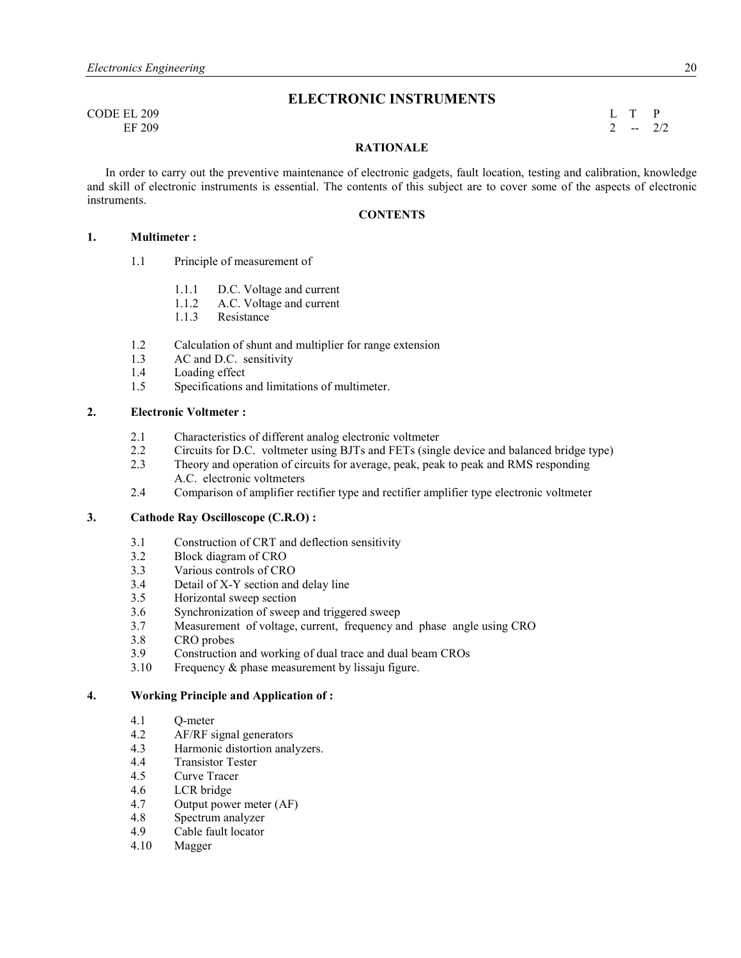**ELECTRONIC INSTRUMENTS** 

CODE EL 209 L T P EF 209 2  $-2/2$ 

#### **RATIONALE**

 In order to carry out the preventive maintenance of electronic gadgets, fault location, testing and calibration, knowledge and skill of electronic instruments is essential. The contents of this subject are to cover some of the aspects of electronic instruments.

### **CONTENTS**

#### **1. Multimeter :**

- 1.1 Principle of measurement of
	- 1.1.1 D.C. Voltage and current
	- 1.1.2 A.C. Voltage and current
	- 1.1.3 Resistance
- 1.2 Calculation of shunt and multiplier for range extension
- 1.3 AC and D.C. sensitivity<br>1.4 Loading effect
- Loading effect
- 1.5 Specifications and limitations of multimeter.

#### **2. Electronic Voltmeter :**

- 2.1 Characteristics of different analog electronic voltmeter
- 2.2 Circuits for D.C. voltmeter using BJTs and FETs (single device and balanced bridge type)
- 2.3 Theory and operation of circuits for average, peak, peak to peak and RMS responding A.C. electronic voltmeters
- 2.4 Comparison of amplifier rectifier type and rectifier amplifier type electronic voltmeter

#### **3. Cathode Ray Oscilloscope (C.R.O) :**

- 3.1 Construction of CRT and deflection sensitivity
- 3.2 Block diagram of CRO
- 3.3 Various controls of CRO
- 3.4 Detail of X-Y section and delay line
- 3.5 Horizontal sweep section
- 3.6 Synchronization of sweep and triggered sweep
- 3.7 Measurement of voltage, current, frequency and phase angle using CRO
- 3.8 CRO probes
- 3.9 Construction and working of dual trace and dual beam CROs
- 3.10 Frequency & phase measurement by lissaju figure.

#### **4. Working Principle and Application of :**

- 4.1 Q-meter
- 4.2 AF/RF signal generators<br>4.3 Harmonic distortion anal
- Harmonic distortion analyzers.
- 4.4 Transistor Tester
- 4.5 Curve Tracer
- 4.6 LCR bridge
- 4.7 Output power meter (AF)
- 4.8 Spectrum analyzer<br>4.9 Cable fault locator
- Cable fault locator
- 4.10 Magger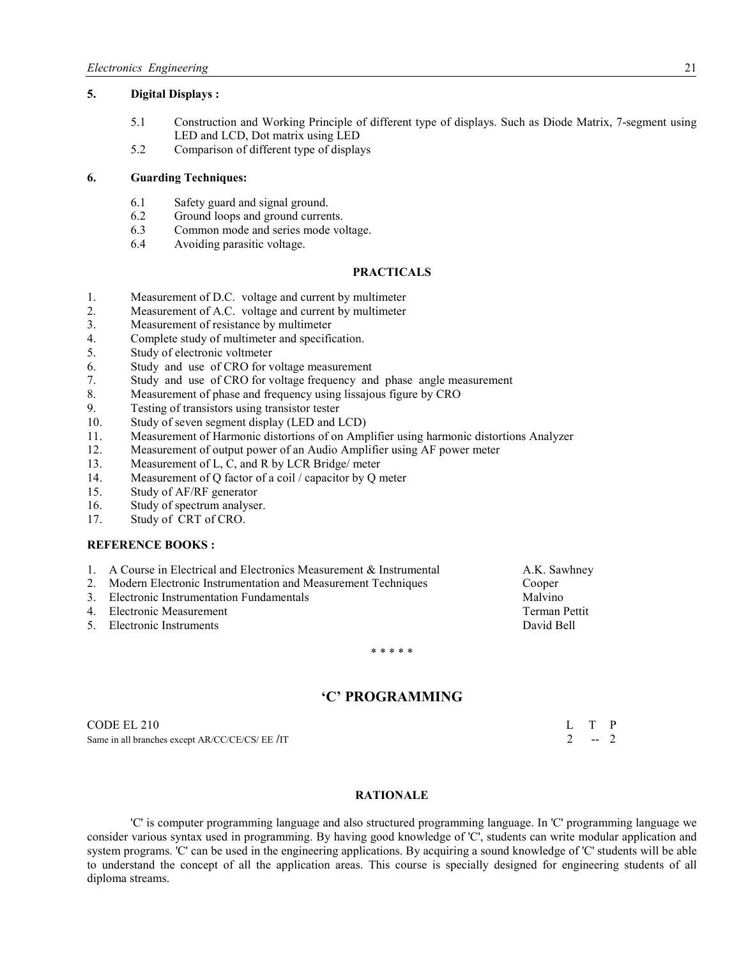#### **5. Digital Displays :**

- 5.1 Construction and Working Principle of different type of displays. Such as Diode Matrix, 7-segment using LED and LCD, Dot matrix using LED
- 5.2 Comparison of different type of displays

#### **6. Guarding Techniques:**

- 6.1 Safety guard and signal ground.
- 6.2 Ground loops and ground currents.
- 6.3 Common mode and series mode voltage.
- 6.4 Avoiding parasitic voltage.

#### **PRACTICALS**

- 1. Measurement of D.C. voltage and current by multimeter
- 2. Measurement of A.C. voltage and current by multimeter
- 3. Measurement of resistance by multimeter
- 4. Complete study of multimeter and specification.<br>5. Study of electronic voltmeter
- Study of electronic voltmeter
- 6. Study and use of CRO for voltage measurement
- 7. Study and use of CRO for voltage frequency and phase angle measurement
- 8. Measurement of phase and frequency using lissajous figure by CRO
- 9. Testing of transistors using transistor tester
- 10. Study of seven segment display (LED and LCD)
- 11. Measurement of Harmonic distortions of on Amplifier using harmonic distortions Analyzer
- 12. Measurement of output power of an Audio Amplifier using AF power meter
- 13. Measurement of L, C, and R by LCR Bridge/ meter
- 14. Measurement of Q factor of a coil / capacitor by Q meter
- 15. Study of AF/RF generator
- 16. Study of spectrum analyser.
- 17. Study of CRT of CRO.

### **REFERENCE BOOKS :**

- 1. A Course in Electrical and Electronics Measurement & Instrumental A.K. Sawhney
- 2. Modern Electronic Instrumentation and Measurement Techniques Cooper
- 3. Electronic Instrumentation Fundamentals<br>
4 Electronic Measurement<br>
Terman Pettit
- 4. Electronic Measurement
- 5. Electronic Instruments David Bell

\* \* \* \* \*

# **'C' PROGRAMMIG**

 $\text{CODE} \, \text{E1} \, 210$  L T P<br>
Same in all branches except AR/CC/CE/CS/ EE /IT Same in all branches except AR/CC/CE/CS/ EE /IT

#### **RATIONALE**

 'C' is computer programming language and also structured programming language. In 'C' programming language we consider various syntax used in programming. By having good knowledge of 'C', students can write modular application and system programs. 'C' can be used in the engineering applications. By acquiring a sound knowledge of 'C' students will be able to understand the concept of all the application areas. This course is specially designed for engineering students of all diploma streams.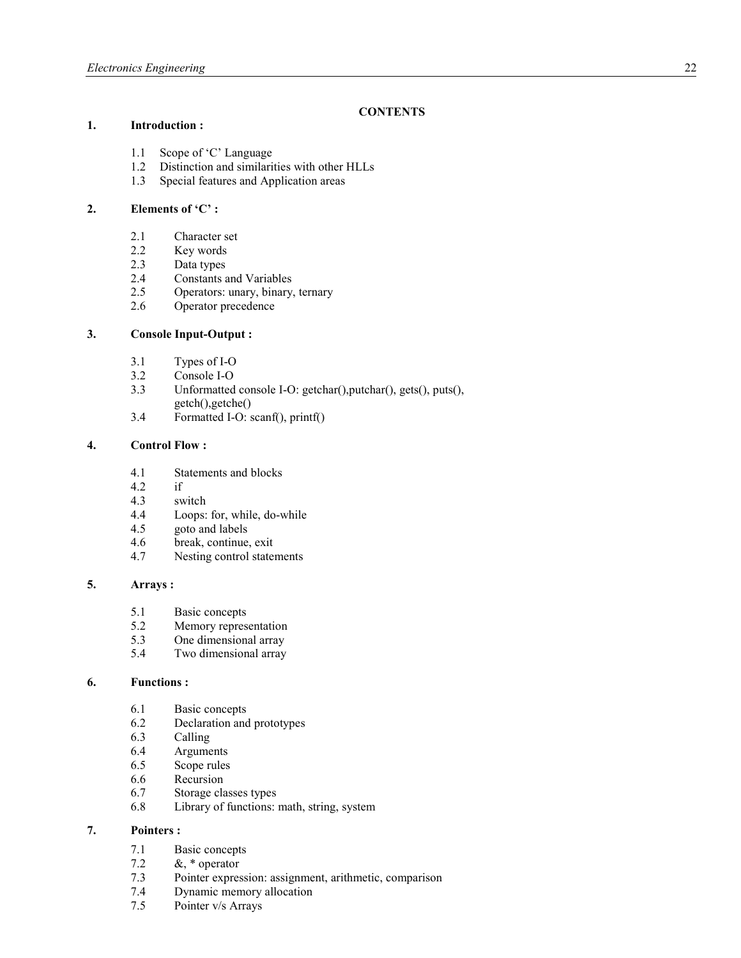# **CONTENTS**

### **1. Introduction :**

- 1.1 Scope of 'C' Language<br>1.2 Distinction and similari
- Distinction and similarities with other HLLs
- 1.3 Special features and Application areas

#### **2. Elements of 'C' :**

- 2.1 Character set<br>2.2 Key words
- Key words
- 2.3 Data types
- 2.4 Constants and Variables<br>2.5 Operators: unary, binary.
- Operators: unary, binary, ternary
- 2.6 Operator precedence

#### **3. Console Input-Output :**

- 3.1 Types of I-O<br>3.2 Console I-O
- Console I-O
- 3.3 Unformatted console I-O: getchar(),putchar(), gets(), puts(),
	- getch(),getche()
- 3.4 Formatted I-O: scanf(), printf()

# **4. Control Flow :**

- 4.1 Statements and blocks
- $4.2$  if<br> $4.3$  sw
- switch
- 4.4 Loops: for, while, do-while
- 4.5 goto and labels
- 4.6 break, continue, exit
- 4.7 Nesting control statements

# **5. Arrays :**

- 5.1 Basic concepts<br>5.2 Memory repres
- Memory representation
- 5.3 One dimensional array
- 5.4 Two dimensional array

#### **6. Functions :**

- 6.1 Basic concepts
- 6.2 Declaration and prototypes
- 6.3 Calling
- **Arguments**
- 6.5 Scope rules
- 6.6 Recursion<br>6.7 Storage cla
- Storage classes types
- 6.8 Library of functions: math, string, system

#### **7. Pointers :**

- 7.1 Basic concepts
- 7.2  $\&$ , \* operator
- 7.3 Pointer expression: assignment, arithmetic, comparison<br>7.4 Dynamic memory allocation
- 7.4 Dynamic memory allocation<br>7.5 Pointer v/s Arrays
- Pointer v/s Arrays